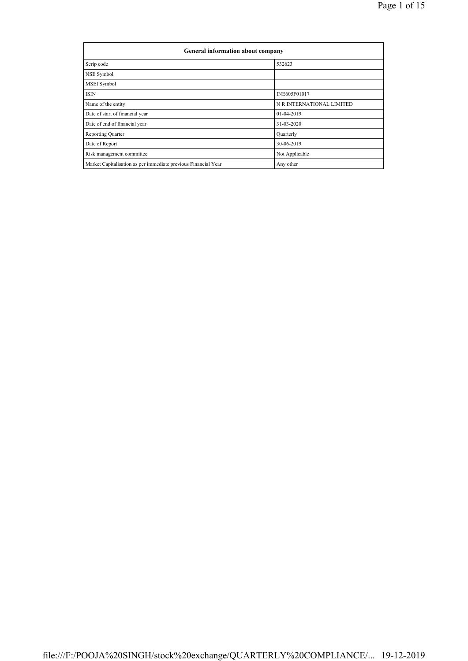| <b>General information about company</b>                       |                           |  |  |  |  |  |
|----------------------------------------------------------------|---------------------------|--|--|--|--|--|
| Scrip code                                                     | 532623                    |  |  |  |  |  |
| NSE Symbol                                                     |                           |  |  |  |  |  |
| MSEI Symbol                                                    |                           |  |  |  |  |  |
| <b>ISIN</b>                                                    | INE605F01017              |  |  |  |  |  |
| Name of the entity                                             | N R INTERNATIONAL LIMITED |  |  |  |  |  |
| Date of start of financial year                                | 01-04-2019                |  |  |  |  |  |
| Date of end of financial year                                  | 31-03-2020                |  |  |  |  |  |
| Reporting Quarter                                              | Quarterly                 |  |  |  |  |  |
| Date of Report                                                 | 30-06-2019                |  |  |  |  |  |
| Risk management committee                                      | Not Applicable            |  |  |  |  |  |
| Market Capitalisation as per immediate previous Financial Year | Any other                 |  |  |  |  |  |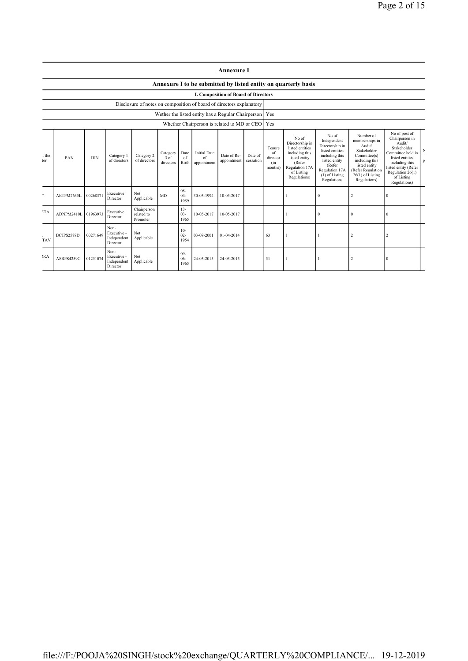|              |                                                                |            |                                                |                                                                      |                               |                                |                                                          | <b>Annexure I</b>                           |                      |                                            |                                                                                                                                          |                                                                                                                                                              |                                                                                                                                                                    |                                                                                                                                                                                              |         |
|--------------|----------------------------------------------------------------|------------|------------------------------------------------|----------------------------------------------------------------------|-------------------------------|--------------------------------|----------------------------------------------------------|---------------------------------------------|----------------------|--------------------------------------------|------------------------------------------------------------------------------------------------------------------------------------------|--------------------------------------------------------------------------------------------------------------------------------------------------------------|--------------------------------------------------------------------------------------------------------------------------------------------------------------------|----------------------------------------------------------------------------------------------------------------------------------------------------------------------------------------------|---------|
|              | Annexure I to be submitted by listed entity on quarterly basis |            |                                                |                                                                      |                               |                                |                                                          |                                             |                      |                                            |                                                                                                                                          |                                                                                                                                                              |                                                                                                                                                                    |                                                                                                                                                                                              |         |
|              |                                                                |            |                                                |                                                                      |                               |                                |                                                          | <b>I. Composition of Board of Directors</b> |                      |                                            |                                                                                                                                          |                                                                                                                                                              |                                                                                                                                                                    |                                                                                                                                                                                              |         |
|              |                                                                |            |                                                | Disclosure of notes on composition of board of directors explanatory |                               |                                |                                                          |                                             |                      |                                            |                                                                                                                                          |                                                                                                                                                              |                                                                                                                                                                    |                                                                                                                                                                                              |         |
|              |                                                                |            |                                                |                                                                      |                               |                                | Wether the listed entity has a Regular Chairperson   Yes |                                             |                      |                                            |                                                                                                                                          |                                                                                                                                                              |                                                                                                                                                                    |                                                                                                                                                                                              |         |
|              |                                                                |            |                                                |                                                                      |                               |                                | Whether Chairperson is related to MD or CEO              |                                             |                      | Yes                                        |                                                                                                                                          |                                                                                                                                                              |                                                                                                                                                                    |                                                                                                                                                                                              |         |
| f the<br>tor | PAN                                                            | <b>DIN</b> | Category 1<br>of directors                     | Category 2<br>of directors                                           | Category<br>3 of<br>directors | Date<br><sub>of</sub><br>Birth | <b>Initial Date</b><br>of<br>appointment                 | Date of Re-<br>appointment                  | Date of<br>cessation | Tenure<br>of<br>director<br>(in<br>months) | No of<br>Directorship in<br>listed entities<br>including this<br>listed entity<br>(Refer<br>Regulation 17A<br>of Listing<br>Regulations) | No of<br>Independent<br>Directorship in<br>listed entities<br>including this<br>listed entity<br>(Refer<br>Regulation 17A<br>$(1)$ of Listing<br>Regulations | Number of<br>memberships in<br>Audit/<br>Stakeholder<br>Committee(s)<br>including this<br>listed entity<br>(Refer Regulation<br>$26(1)$ of Listing<br>Regulations) | No of post of<br>Chairperson in<br>Audit/<br>Stakeholder<br>Committee held in<br>listed entities<br>including this<br>listed entity (Refer<br>Regulation 26(1)<br>of Listing<br>Regulations) | N<br>p: |
|              | AETPM2635L                                                     | 00268371   | Executive<br>Director                          | Not<br>Applicable                                                    | MD                            | $08 -$<br>$04 -$<br>1959       | 30-03-1994                                               | 10-05-2017                                  |                      |                                            |                                                                                                                                          | $\theta$                                                                                                                                                     | 2                                                                                                                                                                  | $\mathbf{0}$                                                                                                                                                                                 |         |
| <b>ETA</b>   | ADNPM2410L                                                     | 01963973   | Executive<br>Director                          | Chairperson<br>related to<br>Promoter                                |                               | $13 -$<br>$03 -$<br>1965       | 10-05-2017                                               | 10-05-2017                                  |                      |                                            |                                                                                                                                          | $\Omega$                                                                                                                                                     | $\Omega$                                                                                                                                                           | $\Omega$                                                                                                                                                                                     |         |
| <b>TAV</b>   | BCJPS2578D                                                     | 00271649   | Non-<br>Executive -<br>Independent<br>Director | Not<br>Applicable                                                    |                               | $10-$<br>$02 -$<br>1954        | 03-08-2001                                               | 01-04-2014                                  |                      | 63                                         |                                                                                                                                          |                                                                                                                                                              |                                                                                                                                                                    | 2                                                                                                                                                                                            |         |
| <b>RA</b>    | ASRPS4259C                                                     | 01251074   | Non-<br>Executive -<br>Independent<br>Director | Not<br>Applicable                                                    |                               | $09-$<br>$06 -$<br>1965        | 24-03-2015                                               | 24-03-2015                                  |                      | 51                                         |                                                                                                                                          |                                                                                                                                                              | $\overline{2}$                                                                                                                                                     | $\Omega$                                                                                                                                                                                     |         |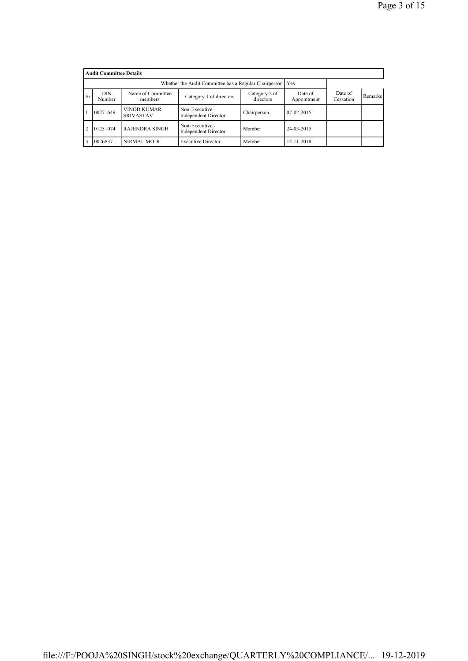|               | <b>Audit Committee Details</b> |                                                           |                                                |                            |                        |                      |         |
|---------------|--------------------------------|-----------------------------------------------------------|------------------------------------------------|----------------------------|------------------------|----------------------|---------|
|               |                                | Whether the Audit Committee has a Regular Chairperson Yes |                                                |                            |                        |                      |         |
| <b>Sr</b>     | <b>DIN</b><br>Number           | Name of Committee<br>members                              | Category 1 of directors                        | Category 2 of<br>directors | Date of<br>Appointment | Date of<br>Cessation | Remarks |
|               | 00271649                       | VINOD KUMAR<br><b>SRIVASTAV</b>                           | Non-Executive -<br><b>Independent Director</b> | Chairperson                | 07-02-2015             |                      |         |
| $\mathcal{D}$ | 01251074                       | <b>RAJENDRA SINGH</b>                                     | Non-Executive -<br><b>Independent Director</b> | Member                     | 24-03-2015             |                      |         |
|               | 00268371                       | NIRMAL MODI                                               | <b>Executive Director</b>                      | Member                     | 14-11-2018             |                      |         |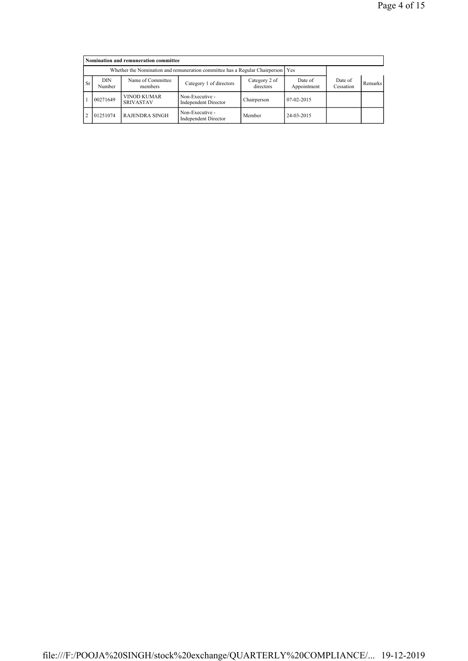|           |                      | Nomination and remuneration committee                                             |                                         |                            |                        |                      |         |
|-----------|----------------------|-----------------------------------------------------------------------------------|-----------------------------------------|----------------------------|------------------------|----------------------|---------|
|           |                      | Whether the Nomination and remuneration committee has a Regular Chairperson   Yes |                                         |                            |                        |                      |         |
| <b>Sr</b> | <b>DIN</b><br>Number | Name of Committee<br>members                                                      | Category 1 of directors                 | Category 2 of<br>directors | Date of<br>Appointment | Date of<br>Cessation | Remarks |
|           | 00271649             | <b>VINOD KUMAR</b><br><b>SRIVASTAV</b>                                            | Non-Executive -<br>Independent Director | Chairperson                | $07-02-2015$           |                      |         |
|           | 01251074             | <b>RAJENDRA SINGH</b>                                                             | Non-Executive -<br>Independent Director | Member                     | 24-03-2015             |                      |         |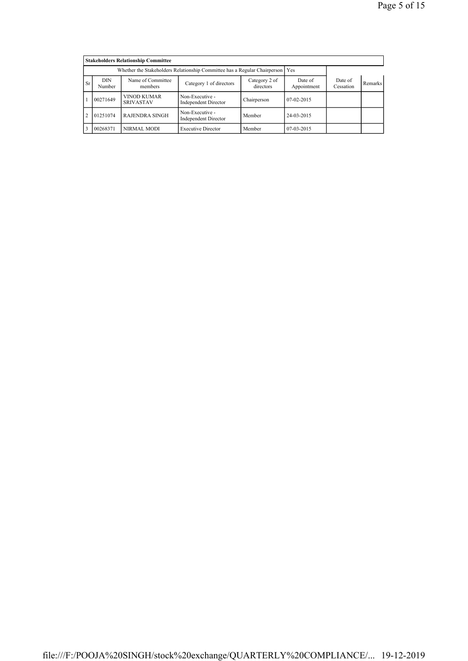|                |                      | <b>Stakeholders Relationship Committee</b>                                      |                                                |                            |                        |                      |                |
|----------------|----------------------|---------------------------------------------------------------------------------|------------------------------------------------|----------------------------|------------------------|----------------------|----------------|
|                |                      | Whether the Stakeholders Relationship Committee has a Regular Chairperson   Yes |                                                |                            |                        |                      |                |
| <b>Sr</b>      | <b>DIN</b><br>Number | Name of Committee<br>members                                                    | Category 1 of directors                        | Category 2 of<br>directors | Date of<br>Appointment | Date of<br>Cessation | <b>Remarks</b> |
|                | 00271649             | <b>VINOD KUMAR</b><br><b>SRIVASTAV</b>                                          | Non-Executive -<br><b>Independent Director</b> | Chairperson                | $07-02-2015$           |                      |                |
| $\overline{2}$ | 01251074             | <b>RAJENDRA SINGH</b>                                                           | Non-Executive -<br><b>Independent Director</b> | Member                     | 24-03-2015             |                      |                |
| 3              | 00268371             | NIRMAL MODI                                                                     | <b>Executive Director</b>                      | Member                     | 07-03-2015             |                      |                |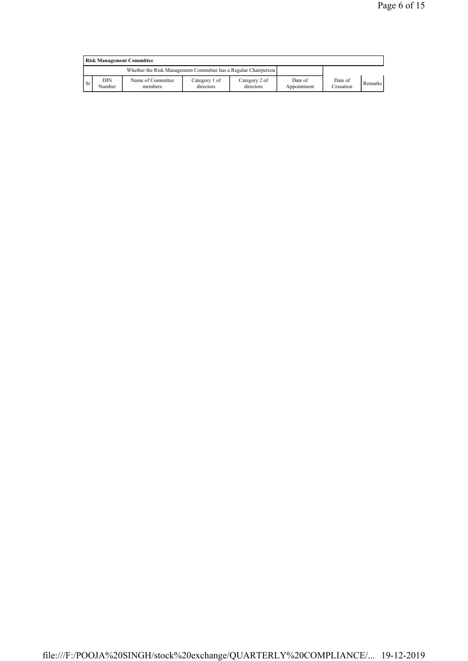|                                                                 | <b>Risk Management Committee</b> |                              |                            |                            |                        |                      |         |  |  |
|-----------------------------------------------------------------|----------------------------------|------------------------------|----------------------------|----------------------------|------------------------|----------------------|---------|--|--|
| Whether the Risk Management Committee has a Regular Chairperson |                                  |                              |                            |                            |                        |                      |         |  |  |
| <b>Sr</b>                                                       | DIN<br>Number                    | Name of Committee<br>members | Category 1 of<br>directors | Category 2 of<br>directors | Date of<br>Appointment | Date of<br>Cessation | Remarks |  |  |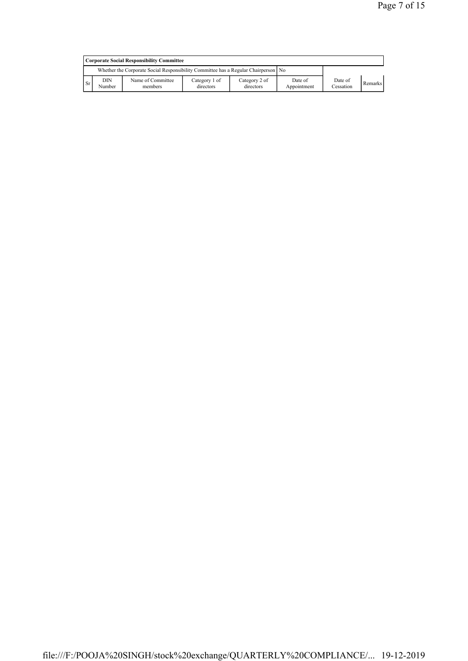|               | Corporate Social Responsibility Committee                                            |                              |                            |                            |                        |                      |         |  |  |
|---------------|--------------------------------------------------------------------------------------|------------------------------|----------------------------|----------------------------|------------------------|----------------------|---------|--|--|
|               | Whether the Corporate Social Responsibility Committee has a Regular Chairperson   No |                              |                            |                            |                        |                      |         |  |  |
| <sup>Sr</sup> | <b>DIN</b><br>Number                                                                 | Name of Committee<br>members | Category 1 of<br>directors | Category 2 of<br>directors | Date of<br>Appointment | Date of<br>Cessation | Remarks |  |  |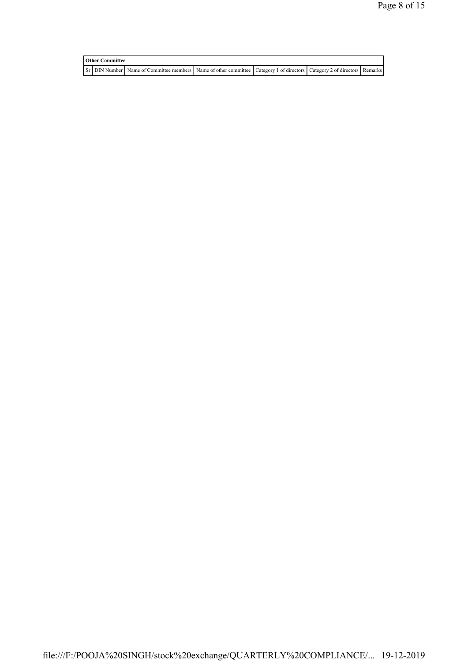| <b>Other Committee</b> |  |                                                                                                                         |  |  |  |  |
|------------------------|--|-------------------------------------------------------------------------------------------------------------------------|--|--|--|--|
|                        |  | Sr DIN Number Name of Committee members Name of other committee Category 1 of directors Category 2 of directors Remarks |  |  |  |  |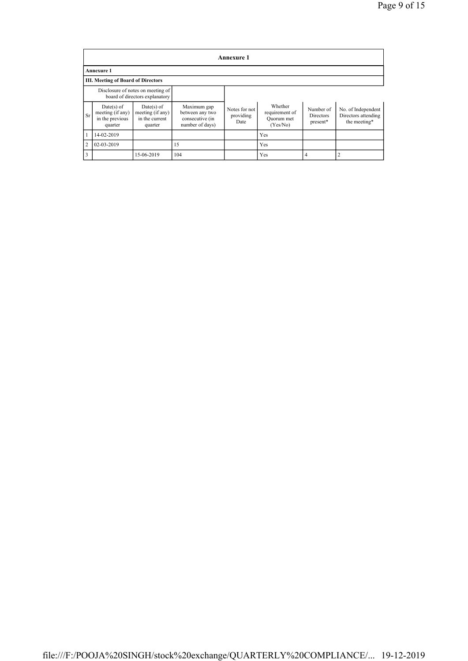|                | <b>Annexure 1</b>                                              |                                                                     |                                                                      |                                    |                                                     |                                    |                                                           |  |  |  |
|----------------|----------------------------------------------------------------|---------------------------------------------------------------------|----------------------------------------------------------------------|------------------------------------|-----------------------------------------------------|------------------------------------|-----------------------------------------------------------|--|--|--|
|                | <b>Annexure 1</b>                                              |                                                                     |                                                                      |                                    |                                                     |                                    |                                                           |  |  |  |
|                | <b>III. Meeting of Board of Directors</b>                      |                                                                     |                                                                      |                                    |                                                     |                                    |                                                           |  |  |  |
|                |                                                                | Disclosure of notes on meeting of<br>board of directors explanatory |                                                                      |                                    |                                                     |                                    |                                                           |  |  |  |
| <b>Sr</b>      | $Date(s)$ of<br>meeting (if any)<br>in the previous<br>quarter | $Date(s)$ of<br>meeting (if any)<br>in the current<br>quarter       | Maximum gap<br>between any two<br>consecutive (in<br>number of days) | Notes for not<br>providing<br>Date | Whether<br>requirement of<br>Quorum met<br>(Yes/No) | Number of<br>Directors<br>present* | No. of Independent<br>Directors attending<br>the meeting* |  |  |  |
| 1              | 14-02-2019                                                     |                                                                     |                                                                      |                                    | Yes                                                 |                                    |                                                           |  |  |  |
| $\overline{c}$ | 02-03-2019                                                     |                                                                     | 15                                                                   |                                    | <b>Yes</b>                                          |                                    |                                                           |  |  |  |
| 3              |                                                                | 15-06-2019                                                          | 104                                                                  |                                    | Yes                                                 | 4                                  |                                                           |  |  |  |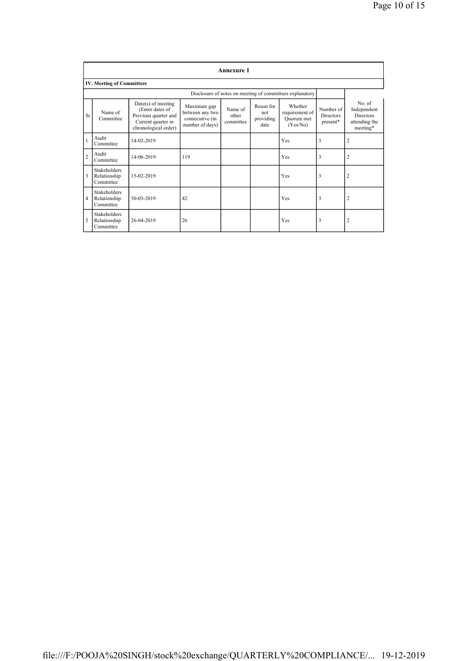|                | <b>Annexure 1</b>                                |                                                                                                               |                                                                      |                               |                                       |                                                          |                                           |                                                                        |  |
|----------------|--------------------------------------------------|---------------------------------------------------------------------------------------------------------------|----------------------------------------------------------------------|-------------------------------|---------------------------------------|----------------------------------------------------------|-------------------------------------------|------------------------------------------------------------------------|--|
|                | <b>IV. Meeting of Committees</b>                 |                                                                                                               |                                                                      |                               |                                       |                                                          |                                           |                                                                        |  |
|                |                                                  |                                                                                                               |                                                                      |                               |                                       | Disclosure of notes on meeting of committees explanatory |                                           |                                                                        |  |
| Sr             | Name of<br>Committee                             | $Date(s)$ of meeting<br>(Enter dates of<br>Previous quarter and<br>Current quarter in<br>chronological order) | Maximum gap<br>between any two<br>consecutive (in<br>number of days) | Name of<br>other<br>committee | Reson for<br>not<br>providing<br>date | Whether<br>requirement of<br>Quorum met<br>(Yes/No)      | Number of<br><b>Directors</b><br>present* | No. of<br>Independent<br><b>Directors</b><br>attending the<br>meeting* |  |
|                | Audit<br>Committee                               | 14-02-2019                                                                                                    |                                                                      |                               |                                       | Yes                                                      | 3                                         | $\overline{2}$                                                         |  |
| $\overline{c}$ | Audit<br>Committee                               | 14-06-2019                                                                                                    | 119                                                                  |                               |                                       | Yes                                                      | 3                                         | $\overline{2}$                                                         |  |
| 3              | Stakeholders<br>Relationship<br>Committee        | 15-02-2019                                                                                                    |                                                                      |                               |                                       | Yes                                                      | 3                                         | $\overline{2}$                                                         |  |
| $\overline{4}$ | Stakeholders<br>Relationship<br>Committee        | 30-03-2019                                                                                                    | 42                                                                   |                               |                                       | Yes                                                      | 3                                         | $\overline{2}$                                                         |  |
| 5              | <b>Stakeholders</b><br>Relationship<br>Committee | 26-04-2019                                                                                                    | 26                                                                   |                               |                                       | Yes                                                      | 3                                         | $\overline{2}$                                                         |  |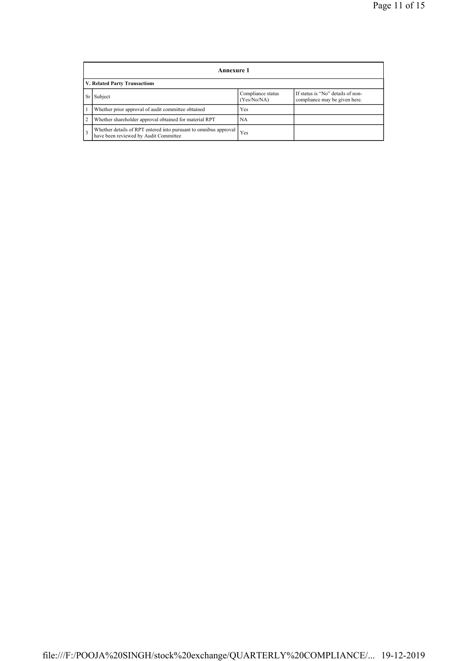|                | Annexure 1                                                                                                |                                  |                                                                    |  |  |  |  |  |
|----------------|-----------------------------------------------------------------------------------------------------------|----------------------------------|--------------------------------------------------------------------|--|--|--|--|--|
|                | <b>V. Related Party Transactions</b>                                                                      |                                  |                                                                    |  |  |  |  |  |
|                | Subject                                                                                                   | Compliance status<br>(Yes/No/NA) | If status is "No" details of non-<br>compliance may be given here. |  |  |  |  |  |
|                | Whether prior approval of audit committee obtained                                                        | Yes                              |                                                                    |  |  |  |  |  |
| $\overline{2}$ | Whether shareholder approval obtained for material RPT                                                    | NA                               |                                                                    |  |  |  |  |  |
|                | Whether details of RPT entered into pursuant to omnibus approval<br>have been reviewed by Audit Committee | Yes                              |                                                                    |  |  |  |  |  |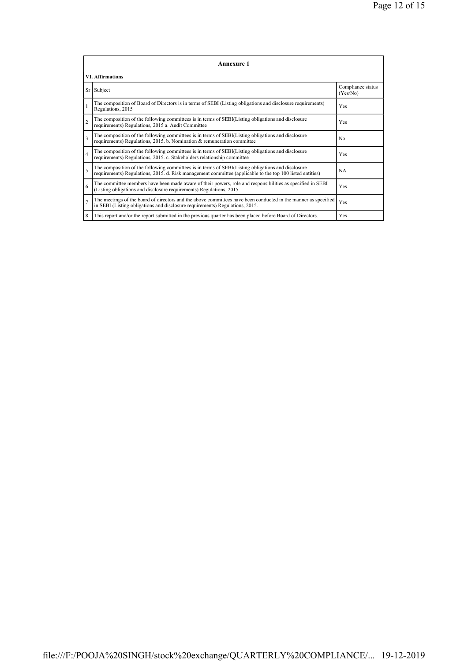|                | <b>Annexure 1</b>                                                                                                                                                                                               |                               |  |  |  |  |  |  |  |
|----------------|-----------------------------------------------------------------------------------------------------------------------------------------------------------------------------------------------------------------|-------------------------------|--|--|--|--|--|--|--|
|                | <b>VI. Affirmations</b>                                                                                                                                                                                         |                               |  |  |  |  |  |  |  |
|                | Sr Subject                                                                                                                                                                                                      | Compliance status<br>(Yes/No) |  |  |  |  |  |  |  |
| $\mathbf{1}$   | The composition of Board of Directors is in terms of SEBI (Listing obligations and disclosure requirements)<br>Regulations, 2015                                                                                | Yes                           |  |  |  |  |  |  |  |
| $\overline{2}$ | The composition of the following committees is in terms of SEBI(Listing obligations and disclosure<br>requirements) Regulations, 2015 a. Audit Committee                                                        | Yes                           |  |  |  |  |  |  |  |
| 3              | The composition of the following committees is in terms of SEBI(Listing obligations and disclosure<br>requirements) Regulations, 2015. b. Nomination & remuneration committee                                   | No                            |  |  |  |  |  |  |  |
| $\overline{4}$ | The composition of the following committees is in terms of SEBI(Listing obligations and disclosure<br>requirements) Regulations, 2015. c. Stakeholders relationship committee                                   | Yes                           |  |  |  |  |  |  |  |
| 5              | The composition of the following committees is in terms of SEBI(Listing obligations and disclosure<br>requirements) Regulations, 2015. d. Risk management committee (applicable to the top 100 listed entities) | <b>NA</b>                     |  |  |  |  |  |  |  |
| 6              | The committee members have been made aware of their powers, role and responsibilities as specified in SEBI<br>(Listing obligations and disclosure requirements) Regulations, 2015.                              | Yes                           |  |  |  |  |  |  |  |
| $\overline{7}$ | The meetings of the board of directors and the above committees have been conducted in the manner as specified<br>in SEBI (Listing obligations and disclosure requirements) Regulations, 2015.                  | Yes                           |  |  |  |  |  |  |  |
| 8              | This report and/or the report submitted in the previous quarter has been placed before Board of Directors.                                                                                                      | Yes                           |  |  |  |  |  |  |  |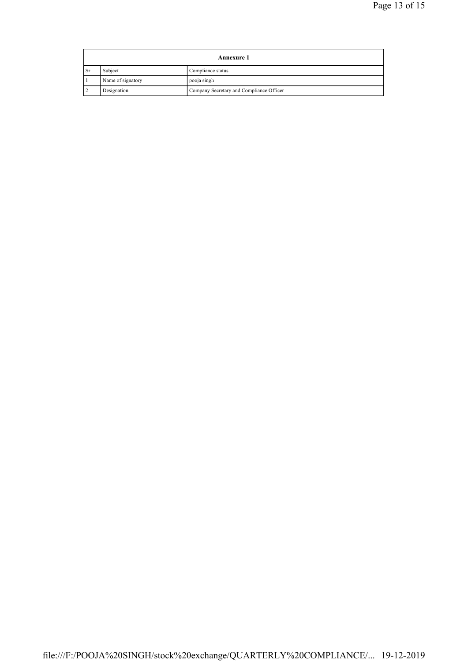| <b>Annexure 1</b> |                   |                                          |
|-------------------|-------------------|------------------------------------------|
| <b>Sr</b>         | Subject           | Compliance status                        |
|                   | Name of signatory | pooja singh                              |
|                   | Designation       | Company Secretary and Compliance Officer |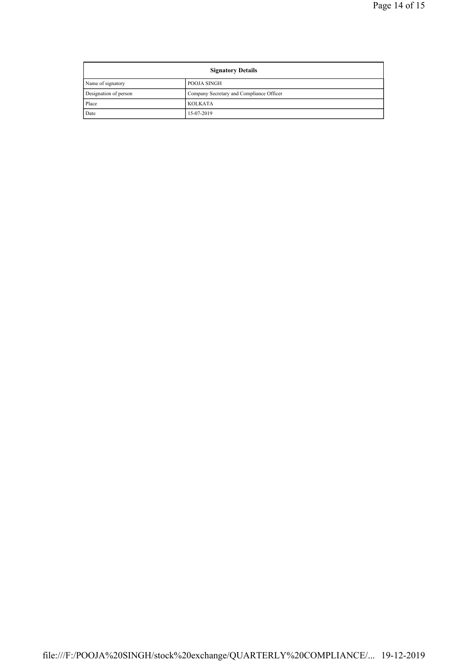| <b>Signatory Details</b> |                                          |  |
|--------------------------|------------------------------------------|--|
| Name of signatory        | POOJA SINGH                              |  |
| Designation of person    | Company Secretary and Compliance Officer |  |
| Place                    | <b>KOLKATA</b>                           |  |
| Date                     | 15-07-2019                               |  |